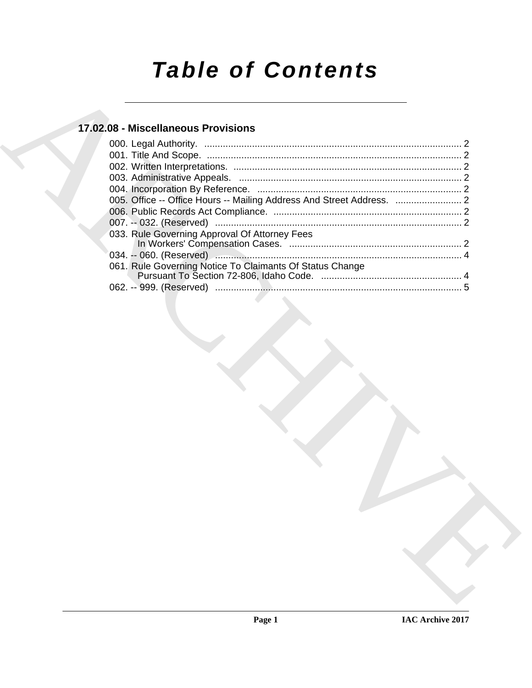# *Table of Contents*

### **17.02.08 - Miscellaneous Provisions**

| 17.02.08 - Miscellaneous Provisions                                   |  |
|-----------------------------------------------------------------------|--|
|                                                                       |  |
|                                                                       |  |
|                                                                       |  |
|                                                                       |  |
|                                                                       |  |
| 005. Office -- Office Hours -- Mailing Address And Street Address.  2 |  |
|                                                                       |  |
|                                                                       |  |
| 033. Rule Governing Approval Of Attorney Fees                         |  |
|                                                                       |  |
|                                                                       |  |
| 061. Rule Governing Notice To Claimants Of Status Change              |  |
|                                                                       |  |
|                                                                       |  |
|                                                                       |  |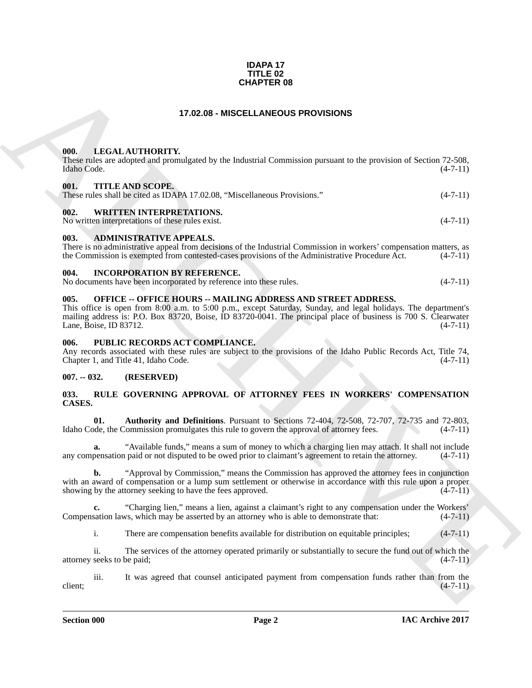#### **IDAPA 17 TITLE 02 CHAPTER 08**

#### **17.02.08 - MISCELLANEOUS PROVISIONS**

#### <span id="page-1-1"></span><span id="page-1-0"></span>**000. LEGAL AUTHORITY.**

These rules are adopted and promulgated by the Industrial Commission pursuant to the provision of Section 72-508, Idaho Code. (4-7-11) Idaho Code. (4-7-11)

#### <span id="page-1-2"></span>**001. TITLE AND SCOPE.**

| These rules shall be cited as IDAPA 17.02.08. "Miscellaneous Provisions." | $(4-7-11)$ |
|---------------------------------------------------------------------------|------------|
| 00A<br>WDIARD INARDODER ARAMA                                             |            |

#### <span id="page-1-3"></span>**002. WRITTEN INTERPRETATIONS.**

No written interpretations of these rules exist. (4-7-11)

#### <span id="page-1-4"></span>**003. ADMINISTRATIVE APPEALS.**

There is no administrative appeal from decisions of the Industrial Commission in workers' compensation matters, as the Commission is exempted from contested-cases provisions of the Administrative Procedure Act. (4-7-11)

#### <span id="page-1-5"></span>**004. INCORPORATION BY REFERENCE.**

| No documents have been incorporated by reference into these rules. |  |  |  |  | $(4-7-11)$ |
|--------------------------------------------------------------------|--|--|--|--|------------|
|--------------------------------------------------------------------|--|--|--|--|------------|

#### <span id="page-1-6"></span>**005. OFFICE -- OFFICE HOURS -- MAILING ADDRESS AND STREET ADDRESS.**

**CHAPTER OS**<br> **CHARCHIVERTY:**<br> **CHARCHIVERTY:**<br> **CHARCHIVERTY:**<br> **CHARCHIVERTY:**<br> **CHARCHIVERTY:**<br> **CHARCHIVERTY:**<br> **CHARCHIVERTY:**<br> **CHARCHIVERTY:**<br> **CHARCHIVERTY:**<br> **CHARCHIVERTY:**<br> **CHARCHIVERTY:**<br> **CHARCHIVERTY:**<br> **CH** This office is open from 8:00 a.m. to 5:00 p.m., except Saturday, Sunday, and legal holidays. The department's mailing address is: P.O. Box 83720, Boise, ID 83720-0041. The principal place of business is 700 S. Clearwater Lane, Boise, ID 83712. (4-7-11) Lane, Boise, ID 83712.

#### <span id="page-1-7"></span>**006. PUBLIC RECORDS ACT COMPLIANCE.**

Any records associated with these rules are subject to the provisions of the Idaho Public Records Act, Title 74, Chapter 1, and Title 41, Idaho Code. (4-7-11)

#### <span id="page-1-8"></span>**007. -- 032. (RESERVED)**

#### <span id="page-1-10"></span><span id="page-1-9"></span>**033. RULE GOVERNING APPROVAL OF ATTORNEY FEES IN WORKERS' COMPENSATION CASES.**

<span id="page-1-11"></span>**01. Authority and Definitions**. Pursuant to Sections 72-404, 72-508, 72-707, 72-735 and 72-803, ode, the Commission promulgates this rule to govern the approval of attorney fees.  $(4-7-11)$ Idaho Code, the Commission promulgates this rule to govern the approval of attorney fees.

**a.** "Available funds," means a sum of money to which a charging lien may attach. It shall not include any compensation paid or not disputed to be owed prior to claimant's agreement to retain the attorney. (4-7-11)

**b.** "Approval by Commission," means the Commission has approved the attorney fees in conjunction with an award of compensation or a lump sum settlement or otherwise in accordance with this rule upon a proper showing by the attorney seeking to have the fees approved. (4-7-11) showing by the attorney seeking to have the fees approved.

**c.** "Charging lien," means a lien, against a claimant's right to any compensation under the Workers' (4-7-11) sation laws, which may be asserted by an attorney who is able to demonstrate that: (4-7-11) Compensation laws, which may be asserted by an attorney who is able to demonstrate that:

i. There are compensation benefits available for distribution on equitable principles; (4-7-11)

ii. The services of the attorney operated primarily or substantially to secure the fund out of which the attorney seeks to be paid; (4-7-11)

iii. It was agreed that counsel anticipated payment from compensation funds rather than from the  $(4-7-11)$ client;  $(4-7-11)$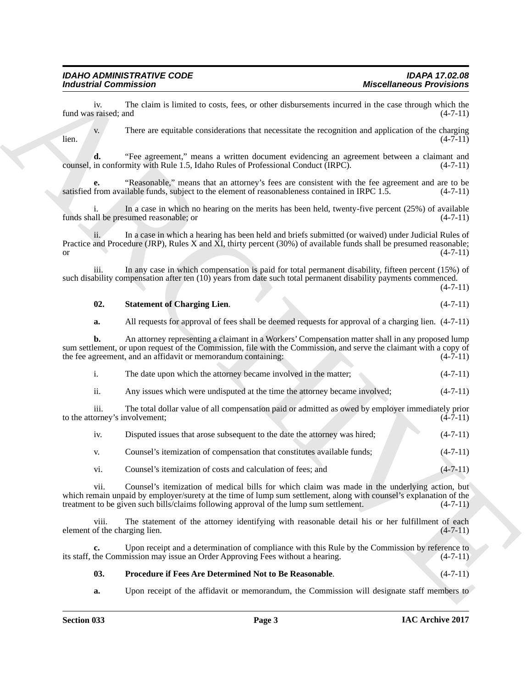#### <span id="page-2-1"></span>**02.** Statement of Charging Lien. (4-7-11)

| The date upon which the attorney became involved in the matter. |  | $(4-7-11)$ |
|-----------------------------------------------------------------|--|------------|
|                                                                 |  |            |

| 11. |  | Any issues which were undisputed at the time the attorney became involved: | $(4-7-11)$ |
|-----|--|----------------------------------------------------------------------------|------------|
|     |  |                                                                            |            |

| <b>Miscellaneous Provisions</b> | <b>Industrial Commission</b>                                                                                                                                                                                                                                                                                          |
|---------------------------------|-----------------------------------------------------------------------------------------------------------------------------------------------------------------------------------------------------------------------------------------------------------------------------------------------------------------------|
| $(4-7-11)$                      | The claim is limited to costs, fees, or other disbursements incurred in the case through which the<br>iv.<br>fund was raised; and                                                                                                                                                                                     |
| $(4-7-11)$                      | There are equitable considerations that necessitate the recognition and application of the charging<br>V.<br>lien.                                                                                                                                                                                                    |
| $(4-7-11)$                      | "Fee agreement," means a written document evidencing an agreement between a claimant and<br>d.<br>counsel, in conformity with Rule 1.5, Idaho Rules of Professional Conduct (IRPC).                                                                                                                                   |
| $(4-7-11)$                      | "Reasonable," means that an attorney's fees are consistent with the fee agreement and are to be<br>е.<br>satisfied from available funds, subject to the element of reasonableness contained in IRPC 1.5.                                                                                                              |
| $(4-7-11)$                      | In a case in which no hearing on the merits has been held, twenty-five percent (25%) of available<br>funds shall be presumed reasonable; or                                                                                                                                                                           |
| $(4-7-11)$                      | In a case in which a hearing has been held and briefs submitted (or waived) under Judicial Rules of<br>Practice and Procedure (JRP), Rules X and XI, thirty percent (30%) of available funds shall be presumed reasonable;                                                                                            |
| $(4-7-11)$                      | In any case in which compensation is paid for total permanent disability, fifteen percent (15%) of<br>iii.<br>such disability compensation after ten (10) years from date such total permanent disability payments commenced.                                                                                         |
| $(4-7-11)$                      | 02.<br><b>Statement of Charging Lien.</b>                                                                                                                                                                                                                                                                             |
|                                 | All requests for approval of fees shall be deemed requests for approval of a charging lien. $(4-7-11)$<br>a.                                                                                                                                                                                                          |
| $(4-7-11)$                      | An attorney representing a claimant in a Workers' Compensation matter shall in any proposed lump<br>b.<br>sum settlement, or upon request of the Commission, file with the Commission, and serve the claimant with a copy of<br>the fee agreement, and an affidavit or memorandum containing:                         |
| $(4-7-11)$                      | i.<br>The date upon which the attorney became involved in the matter;                                                                                                                                                                                                                                                 |
| $(4-7-11)$                      | ii.<br>Any issues which were undisputed at the time the attorney became involved;                                                                                                                                                                                                                                     |
| $(4-7-11)$                      | The total dollar value of all compensation paid or admitted as owed by employer immediately prior<br>iii.<br>to the attorney's involvement;                                                                                                                                                                           |
| $(4-7-11)$                      | Disputed issues that arose subsequent to the date the attorney was hired;<br>iv.                                                                                                                                                                                                                                      |
| $(4-7-11)$                      | Counsel's itemization of compensation that constitutes available funds;<br>V.                                                                                                                                                                                                                                         |
| $(4 - 7 - 11)$                  | Counsel's itemization of costs and calculation of fees; and<br>vi.                                                                                                                                                                                                                                                    |
| $(4-7-11)$                      | vii.<br>Counsel's itemization of medical bills for which claim was made in the underlying action, but<br>which remain unpaid by employer/surety at the time of lump sum settlement, along with counsel's explanation of the<br>treatment to be given such bills/claims following approval of the lump sum settlement. |
| $(4-7-11)$                      | The statement of the attorney identifying with reasonable detail his or her fulfillment of each<br>viii.<br>element of the charging lien.                                                                                                                                                                             |
|                                 | Upon receipt and a determination of compliance with this Rule by the Commission by reference to<br>c.                                                                                                                                                                                                                 |
|                                 | its staff, the Commission may issue an Order Approving Fees without a hearing.                                                                                                                                                                                                                                        |
| $(4-7-11)$<br>$(4-7-11)$        | 03.<br>Procedure if Fees Are Determined Not to Be Reasonable.                                                                                                                                                                                                                                                         |

#### <span id="page-2-0"></span>**03. Procedure if Fees Are Determined Not to Be Reasonable**. (4-7-11)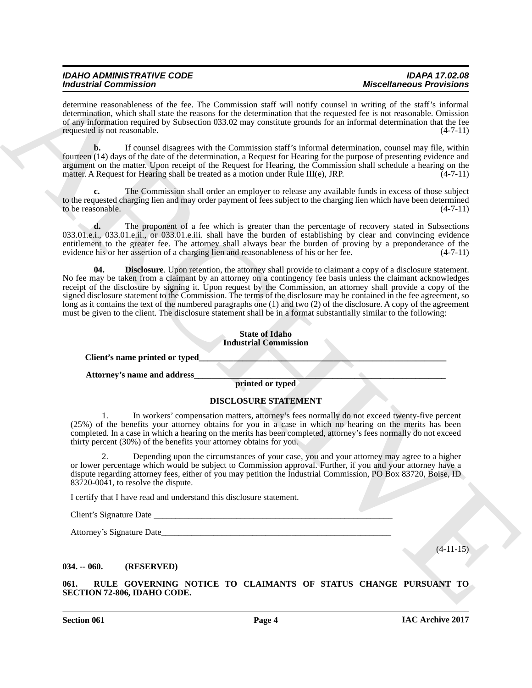| <b>IDAHO ADMINISTRATIVE CODE</b> | <b>IDAPA 17.02.08</b>           |
|----------------------------------|---------------------------------|
| <b>Industrial Commission</b>     | <b>Miscellaneous Provisions</b> |

| <b>Industrial Commission</b>                                                                                                                                                                                                                                                                                                                                                                                                                                                                                                                                                                                      | <b>Miscellaneous Provisions</b>                                                                                 |
|-------------------------------------------------------------------------------------------------------------------------------------------------------------------------------------------------------------------------------------------------------------------------------------------------------------------------------------------------------------------------------------------------------------------------------------------------------------------------------------------------------------------------------------------------------------------------------------------------------------------|-----------------------------------------------------------------------------------------------------------------|
| determine reasonableness of the fee. The Commission staff will notify counsel in writing of the staff's informal<br>determination, which shall state the reasons for the determination that the requested fee is not reasonable. Omission<br>of any information required by Subsection 033.02 may constitute grounds for an informal determination that the fee<br>requested is not reasonable.                                                                                                                                                                                                                   | $(4-7-11)$                                                                                                      |
| b.<br>fourteen (14) days of the date of the determination, a Request for Hearing for the purpose of presenting evidence and<br>argument on the matter. Upon receipt of the Request for Hearing, the Commission shall schedule a hearing on the<br>matter. A Request for Hearing shall be treated as a motion under Rule III(e), JRP.                                                                                                                                                                                                                                                                              | If counsel disagrees with the Commission staff's informal determination, counsel may file, within<br>$(4-7-11)$ |
| c.<br>to the requested charging lien and may order payment of fees subject to the charging lien which have been determined<br>to be reasonable.                                                                                                                                                                                                                                                                                                                                                                                                                                                                   | The Commission shall order an employer to release any available funds in excess of those subject<br>$(4-7-11)$  |
| d.<br>033.01.e.i., 033.01.e.ii., or 033.01.e.iii. shall have the burden of establishing by clear and convincing evidence<br>entitlement to the greater fee. The attorney shall always bear the burden of proving by a preponderance of the<br>evidence his or her assertion of a charging lien and reasonableness of his or her fee.                                                                                                                                                                                                                                                                              | The proponent of a fee which is greater than the percentage of recovery stated in Subsections<br>$(4-7-11)$     |
| 04.<br>No fee may be taken from a claimant by an attorney on a contingency fee basis unless the claimant acknowledges<br>receipt of the disclosure by signing it. Upon request by the Commission, an attorney shall provide a copy of the<br>signed disclosure statement to the Commission. The terms of the disclosure may be contained in the fee agreement, so<br>long as it contains the text of the numbered paragraphs one (1) and two (2) of the disclosure. A copy of the agreement<br>must be given to the client. The disclosure statement shall be in a format substantially similar to the following: | <b>Disclosure.</b> Upon retention, the attorney shall provide to claimant a copy of a disclosure statement.     |
| <b>State of Idaho</b><br><b>Industrial Commission</b>                                                                                                                                                                                                                                                                                                                                                                                                                                                                                                                                                             |                                                                                                                 |
| Client's name printed or typed                                                                                                                                                                                                                                                                                                                                                                                                                                                                                                                                                                                    |                                                                                                                 |
| Attorney's name and address                                                                                                                                                                                                                                                                                                                                                                                                                                                                                                                                                                                       |                                                                                                                 |
| printed or typed                                                                                                                                                                                                                                                                                                                                                                                                                                                                                                                                                                                                  |                                                                                                                 |
| DISCLOSURE STATEMENT                                                                                                                                                                                                                                                                                                                                                                                                                                                                                                                                                                                              |                                                                                                                 |
| 1.<br>(25%) of the benefits your attorney obtains for you in a case in which no hearing on the merits has been<br>completed. In a case in which a hearing on the merits has been completed, attorney's fees normally do not exceed<br>thirty percent (30%) of the benefits your attorney obtains for you.                                                                                                                                                                                                                                                                                                         | In workers' compensation matters, attorney's fees normally do not exceed twenty-five percent                    |
| or lower percentage which would be subject to Commission approval. Further, if you and your attorney have a<br>dispute regarding attorney fees, either of you may petition the Industrial Commission, PO Box 83720, Boise, ID<br>$83720-0041$ , to resolve the dispute.                                                                                                                                                                                                                                                                                                                                           | Depending upon the circumstances of your case, you and your attorney may agree to a higher                      |
| I certify that I have read and understand this disclosure statement.                                                                                                                                                                                                                                                                                                                                                                                                                                                                                                                                              |                                                                                                                 |
|                                                                                                                                                                                                                                                                                                                                                                                                                                                                                                                                                                                                                   |                                                                                                                 |
|                                                                                                                                                                                                                                                                                                                                                                                                                                                                                                                                                                                                                   |                                                                                                                 |
|                                                                                                                                                                                                                                                                                                                                                                                                                                                                                                                                                                                                                   | $(4-11-15)$                                                                                                     |
|                                                                                                                                                                                                                                                                                                                                                                                                                                                                                                                                                                                                                   |                                                                                                                 |
| $034. - 060.$<br>(RESERVED)                                                                                                                                                                                                                                                                                                                                                                                                                                                                                                                                                                                       |                                                                                                                 |

#### <span id="page-3-2"></span>**DISCLOSURE STATEMENT**

#### <span id="page-3-3"></span><span id="page-3-1"></span><span id="page-3-0"></span>**034. -- 060. (RESERVED)**

**Section 061 Page 4**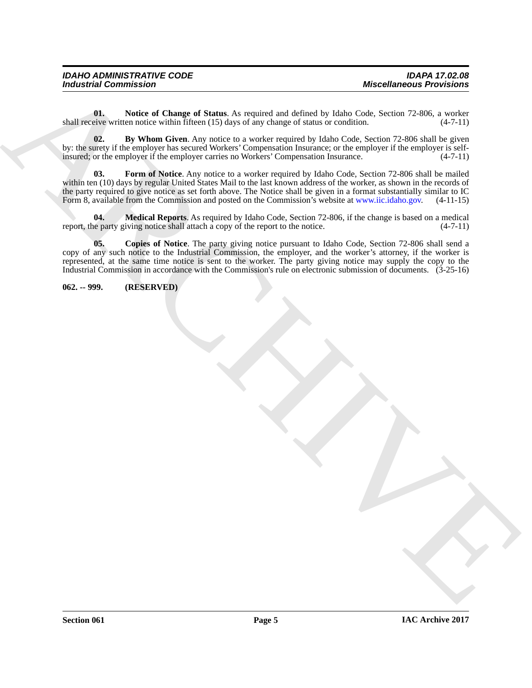| <b>IDAHO ADMINISTRATIVE CODE</b> | <b>IDAPA 17.02.08</b>           |
|----------------------------------|---------------------------------|
| <b>Industrial Commission</b>     | <b>Miscellaneous Provisions</b> |

<span id="page-4-5"></span>**01.** Notice of Change of Status. As required and defined by Idaho Code, Section 72-806, a worker eive written notice within fifteen (15) days of any change of status or condition. (4-7-11) shall receive written notice within fifteen  $(15)$  days of any change of status or condition.

<span id="page-4-3"></span><span id="page-4-1"></span>**02. By Whom Given**. Any notice to a worker required by Idaho Code, Section 72-806 shall be given by: the surety if the employer has secured Workers' Compensation Insurance; or the employer if the employer is self-<br>insured; or the employer if the employer carries no Workers' Compensation Insurance. (4-7-11) insured; or the employer if the employer carries no Workers' Compensation Insurance.

**Moderation Commission**<br>
that we have a strong of Sidden, As required and School by take (see, Section 22.905, a wide of the strong of the strong of the strong of the strong of the strong of the strong of the strong of th **03. Form of Notice**. Any notice to a worker required by Idaho Code, Section 72-806 shall be mailed within ten (10) days by regular United States Mail to the last known address of the worker, as shown in the records of the party required to give notice as set forth above. The Notice shall be given in a format substantially similar to IC Form 8, available from the Commission and posted on the Commission's website at www.iic.idaho.gov. (4-11-15)

<span id="page-4-4"></span>**04. Medical Reports**. As required by Idaho Code, Section 72-806, if the change is based on a medical report, the party giving notice shall attach a copy of the report to the notice. (4-7-11)

<span id="page-4-2"></span>**05. Copies of Notice**. The party giving notice pursuant to Idaho Code, Section 72-806 shall send a copy of any such notice to the Industrial Commission, the employer, and the worker's attorney, if the worker is represented, at the same time notice is sent to the worker. The party giving notice may supply the copy to the Industrial Commission in accordance with the Commission's rule on electronic submission of documents. (3-25-16)

<span id="page-4-0"></span>**062. -- 999. (RESERVED)**